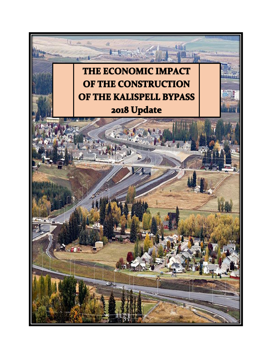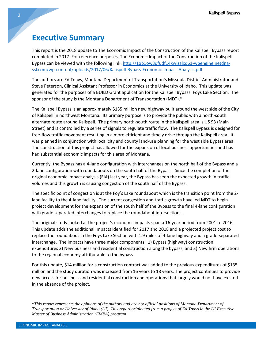## **Executive Summary**

This report is the 2018 update to The Economic Impact of the Construction of the Kalispell Bypass report completed in 2017. For reference purposes, The Economic Impact of the Construction of the Kalispell Bypass can be viewed with the following link[: http://1qb1ow3qfudf14kwjzalxq61-wpengine.netdna](http://1qb1ow3qfudf14kwjzalxq61-wpengine.netdna-ssl.com/wp-content/uploads/2017/06/Kalispell-Bypass-Economic-Impact-Analysis.pdf)[ssl.com/wp-content/uploads/2017/06/Kalispell-Bypass-Economic-Impact-Analysis.pdf.](http://1qb1ow3qfudf14kwjzalxq61-wpengine.netdna-ssl.com/wp-content/uploads/2017/06/Kalispell-Bypass-Economic-Impact-Analysis.pdf)

The authors are Ed Toavs, Montana Department of Transportation's Missoula District Administrator and Steve Peterson, Clinical Assistant Professor in Economics at the University of Idaho. This update was generated for the purposes of a BUILD Grant application for the Kalispell Bypass: Foys Lake Section. The sponsor of the study is the Montana Department of Transportation (MDT).\*

The Kalispell Bypass is an approximately \$135 million new highway built around the west side of the City of Kalispell in northwest Montana. Its primary purpose is to provide the public with a north-south alternate route around Kalispell. The primary north-south route in the Kalispell area is US 93 (Main Street) and is controlled by a series of signals to regulate traffic flow. The Kalispell Bypass is designed for free-flow traffic movement resulting in a more efficient and timely drive through the Kalispell area. It was planned in conjunction with local city and county land-use planning for the west side Bypass area. The construction of this project has allowed for the expansion of local business opportunities and has had substantial economic impacts for this area of Montana.

Currently, the Bypass has a 4-lane configuration with interchanges on the north half of the Bypass and a 2-lane configuration with roundabouts on the south half of the Bypass. Since the completion of the original economic impact analysis (EIA) last year, the Bypass has seen the expected growth in traffic volumes and this growth is causing congestion of the south half of the Bypass.

The specific point of congestion is at the Foy's Lake roundabout which is the transition point from the 2 lane facility to the 4-lane facility. The current congestion and traffic growth have led MDT to begin project development for the expansion of the south half of the Bypass to the final 4-lane configuration with grade separated interchanges to replace the roundabout intersections.

The original study looked at the project's economic impacts span a 16-year period from 2001 to 2016. This update adds the additional impacts identified for 2017 and 2018 and a projected project cost to replace the roundabout in the Foys Lake Section with 1.9 miles of 4-lane highway and a grade-separated interchange. The impacts have three major components: 1) Bypass (highway) construction expenditures 2) New business and residential construction along the bypass, and 3) New firm operations to the regional economy attributable to the bypass.

For this update, \$14 million for a construction contract was added to the previous expenditures of \$135 million and the study duration was increased from 16 years to 18 years. The project continues to provide new access for business and residential construction and operations that largely would not have existed in the absence of the project.

\**This report represents the opinions of the authors and are not official positions of Montana Department of Transportation or University of Idaho (UI). This report originated from a project of Ed Toavs in the UI Executive Master of Business Administration (EMBA) program*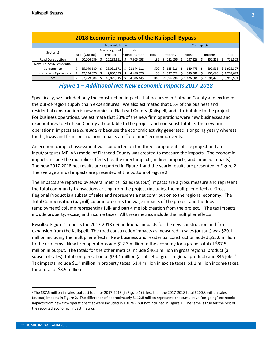| <b>2018 Economic Impacts of the Kalispell Bypass</b> |                         |                       |              |      |                    |           |           |             |  |  |  |  |
|------------------------------------------------------|-------------------------|-----------------------|--------------|------|--------------------|-----------|-----------|-------------|--|--|--|--|
|                                                      | <b>Economic Impacts</b> |                       |              |      | <b>Tax Impacts</b> |           |           |             |  |  |  |  |
| Sector(s)                                            |                         | <b>Gross Regional</b> | Total        |      |                    |           |           |             |  |  |  |  |
|                                                      | Sales (Output)          | Product               | Compensation | Jobs | Property           | Excise    | Income    | Total       |  |  |  |  |
| <b>Road Construction</b>                             | 20,104,239              | 10,238,851            | 7,905,758    | 186  | 232,056            | 237,228   | 252,219   | 721,503     |  |  |  |  |
| New Business/Residential                             |                         |                       |              |      |                    |           |           |             |  |  |  |  |
| Construction                                         | 55,040,689              | 28,031,571            | 21,644,111   | 509  | 635,316<br>S.      | 649,475   | 690,516   | \$1,975,307 |  |  |  |  |
| <b>Business Firm Operations</b>                      | 12,334,376              | 7,800,793             | 4,496,576    | 150  | 527,622            | 539,381   | 151,690   | \$1,218,693 |  |  |  |  |
| Total                                                | 87,479,304              | 46,071,215            | 34,046,445   | 845  | \$1,394,994        | 1,426,084 | l,094,425 | \$3,915,503 |  |  |  |  |

## *Figure 1 – Additional Net New Economic Impacts 2017-2018*

Specifically, we included only the construction impacts that occurred in Flathead County and excluded the out-of-region supply chain expenditures. We also estimated that 65% of the business and residential construction is new monies to Flathead County (Kalispell) and attributable to the project. For business operations, we estimate that 33% of the new firm operations were new businesses and expenditures to Flathead County attributable to the project and non-substitutable. The new firm operations' impacts are *cumulative* because the economic activity generated is ongoing yearly whereas the highway and firm construction impacts are "one time" economic events.

An economic impact assessment was conducted on the three components of the project and an input/output (IMPLAN) model of Flathead County was created to measure the impacts. The economic impacts include the multiplier effects (i.e. the direct impacts, indirect impacts, and induced impacts). The new 2017-2018 net results are reported in Figure 1 and the yearly results are presented in Figure 2. The average annual impacts are presented at the bottom of Figure 2.

The Impacts are reported by several metrics: Sales (output) impacts are a gross measure and represent the total community transactions arising from the project (including the multiplier effects). Gross Regional Product is a subset of sales and represents a net contribution to the regional economy. The Total Compensation (payroll) column presents the wage impacts of the project and the Jobs (employment) column representing full- and part-time job creation from the project. The tax impacts include property, excise, and income taxes. All these metrics include the multiplier effects.

**Results:** Figure 1 reports the 2017-2018 *net* additional impacts for the new construction and firm expansion from the Kalispell. The road construction impacts as measured in sales (output) was \$20.1 million including the multiplier effects. New business and residential construction added \$55.0 million to the economy. New firm operations add \$12.3 million to the economy for a grand total of \$87.5 million in output. The totals for the other metrics include \$46.1 million in gross regional product (a subset of sales), total compensation of \$34.1 million (a subset of gross regional product) and 845 jobs.<sup>1</sup> Tax impacts include \$1.4 million in property taxes, \$1.4 million in excise taxes, \$1.1 million income taxes, for a total of \$3.9 million.

 $\overline{a}$ 

<sup>1</sup>The \$87.5 million in sales (output) total for 2017-2018 (in Figure 1) is less than the 2017-2018 total \$200.3 million sales (output) impacts in Figure 2. The difference of approximately \$112.8 million represents the cumulative "on-going" economic impacts from new firm operations that were included in Figure 2 but not included in Figure 1. The same is true for the rest of the reported economic impact metrics.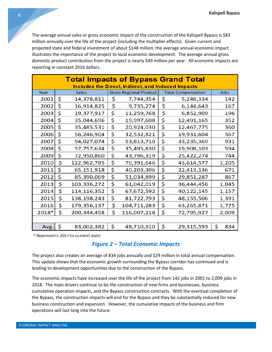The average annual sales or gross economic impact of the construction of the Kalispell Bypass is \$83 million annually over the life of the project (including the multiplier effects). Given current and projected state and federal investment of about \$148 million, the average annual economic impact illustrates the importance of the project to local economic development. The average annual gross domestic product contribution from the project is nearly \$49 million per year. All economic impacts are reporting in constant 2016 dollars.

| <b>Total Impacts of Bypass Grand Total</b><br>Includes the Direct, Indirect, and Induced Impacts |    |              |    |                               |    |                           |           |  |  |  |  |
|--------------------------------------------------------------------------------------------------|----|--------------|----|-------------------------------|----|---------------------------|-----------|--|--|--|--|
| Year                                                                                             |    | <b>Sales</b> |    | <b>Gross Regional Product</b> |    | <b>Total Compensation</b> | Jobs      |  |  |  |  |
| 2001                                                                                             | \$ | 14,378,811   | \$ | 7,744,354                     | \$ | 5,248,334                 | 142       |  |  |  |  |
| 2002                                                                                             | \$ | 16,914,825   | \$ | 9,735,274                     | \$ | 6,144,643                 | 167       |  |  |  |  |
| 2003                                                                                             | \$ | 19,377,917   | \$ | 11,259,768                    | \$ | 6,852,909                 | 196       |  |  |  |  |
| 2004                                                                                             | \$ | 35,044,696   | \$ | 19,997,608                    | \$ | 12,491,165                | 352       |  |  |  |  |
| 2005                                                                                             | \$ | 35,485,531   | \$ | 20,924,030                    | \$ | 12,467,775                | 360       |  |  |  |  |
| 2006                                                                                             | \$ | 56,246,904   | \$ | 32,532,821                    | \$ | 19,931,604                | 567       |  |  |  |  |
| 2007                                                                                             | \$ | 94,027,074   | \$ | 53,813,710                    | \$ | 33,235,369                | 931       |  |  |  |  |
| 2008                                                                                             | \$ | 57,757,634   | \$ | 35,495,830                    | \$ | 19,908,103                | 594       |  |  |  |  |
| 2009                                                                                             | \$ | 72,950,860   | \$ | 43,796,319                    | \$ | 25,422,274                | 744       |  |  |  |  |
| 2010                                                                                             | \$ | 122,962,785  | \$ | 70,391,646                    | \$ | 43,614,577                | 1,205     |  |  |  |  |
| 2011                                                                                             | \$ | 65,151,918   | \$ | 40,203,306                    | \$ | 22,413,136                | 671       |  |  |  |  |
| 2012                                                                                             | \$ | 85,390,069   | \$ | 51,034,899                    | \$ | 29,851,287                | 867       |  |  |  |  |
| 2013                                                                                             | \$ | 103,336,272  | \$ | 61,042,019                    | \$ | 36,444,456                | 1,045     |  |  |  |  |
| 2014                                                                                             | \$ | 114,116,352  | \$ | 67,672,592                    | \$ | 40,122,145                | 1,157     |  |  |  |  |
| 2015                                                                                             | \$ | 138,198,243  | \$ | 81,722,793                    | \$ | 48,155,506                | 1,391     |  |  |  |  |
| 2016                                                                                             | \$ | 179,356,137  | \$ | 104,711,283                   | \$ | 63,265,871                | 1,775     |  |  |  |  |
| 2018*                                                                                            | \$ | 200,344,458  | \$ | 116,007,218                   | \$ | 72,795,927                | 2,009     |  |  |  |  |
|                                                                                                  |    |              |    |                               |    |                           |           |  |  |  |  |
| Avg.                                                                                             | \$ | 83,002,382   | \$ | 48,710,910                    | \$ | 29,315,593                | \$<br>834 |  |  |  |  |

\* Represents 2017 to current date.

## *Figure 2 – Total Economic Impacts*

The project also creates an average of 834 jobs annually and \$29 million in total annual compensation. This update shows that the economic growth surrounding the Bypass corridor has continued and is leading to development opportunities due to the construction of the Bypass.

The economic impacts have increased over the life of the project from 142 jobs in 2001 to 2,009 jobs in 2018. The main drivers continue to be the construction of new firms and businesses, business cumulative operation impacts, and the Bypass construction contracts. With the eventual completion of the Bypass, the construction impacts will end for the Bypass and they be substantially reduced for new business construction and expansion. However, the cumulative impacts of the business and firm operations will last long into the future.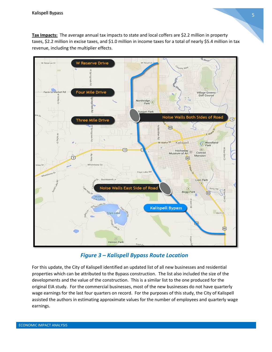**Tax Impacts:** The average annual tax impacts to state and local coffers are \$2.2 million in property taxes, \$2.2 million in excise taxes, and \$1.0 million in income taxes for a total of nearly \$5.4 million in tax revenue, including the multiplier effects.



*Figure 3 – Kalispell Bypass Route Location*

For this update, the City of Kalispell identified an updated list of all new businesses and residential properties which can be attributed to the Bypass construction. The list also included the size of the developments and the value of the construction. This is a similar list to the one produced for the original EIA study. For the commercial businesses, most of the new businesses do not have quarterly wage earnings for the last four quarters on record. For the purposes of this study, the City of Kalispell assisted the authors in estimating approximate values for the number of employees and quarterly wage earnings.